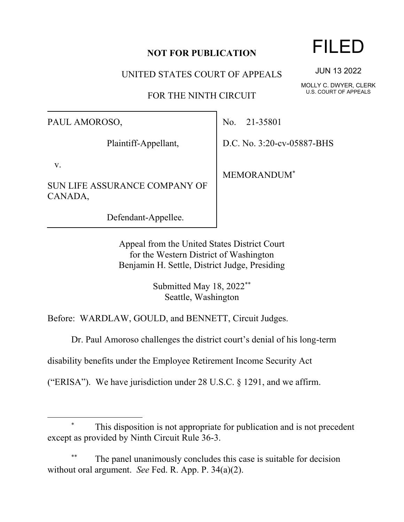## **NOT FOR PUBLICATION**

UNITED STATES COURT OF APPEALS

FOR THE NINTH CIRCUIT

PAUL AMOROSO,

Plaintiff-Appellant,

v.

SUN LIFE ASSURANCE COMPANY OF CANADA,

Defendant-Appellee.

No. 21-35801

D.C. No. 3:20-cv-05887-BHS

MEMORANDUM\*

Appeal from the United States District Court for the Western District of Washington Benjamin H. Settle, District Judge, Presiding

> Submitted May 18, 2022\*\* Seattle, Washington

Before: WARDLAW, GOULD, and BENNETT, Circuit Judges.

Dr. Paul Amoroso challenges the district court's denial of his long-term

disability benefits under the Employee Retirement Income Security Act

("ERISA"). We have jurisdiction under 28 U.S.C. § 1291, and we affirm.

## This disposition is not appropriate for publication and is not precedent except as provided by Ninth Circuit Rule 36-3.

The panel unanimously concludes this case is suitable for decision without oral argument. *See* Fed. R. App. P. 34(a)(2).

## FILED

JUN 13 2022

MOLLY C. DWYER, CLERK U.S. COURT OF APPEALS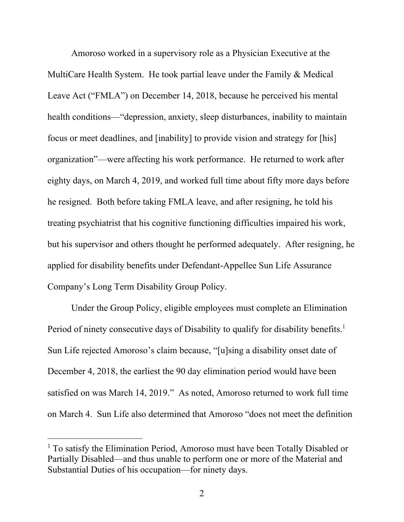Amoroso worked in a supervisory role as a Physician Executive at the MultiCare Health System. He took partial leave under the Family & Medical Leave Act ("FMLA") on December 14, 2018, because he perceived his mental health conditions—"depression, anxiety, sleep disturbances, inability to maintain focus or meet deadlines, and [inability] to provide vision and strategy for [his] organization"—were affecting his work performance. He returned to work after eighty days, on March 4, 2019, and worked full time about fifty more days before he resigned. Both before taking FMLA leave, and after resigning, he told his treating psychiatrist that his cognitive functioning difficulties impaired his work, but his supervisor and others thought he performed adequately. After resigning, he applied for disability benefits under Defendant-Appellee Sun Life Assurance Company's Long Term Disability Group Policy.

Under the Group Policy, eligible employees must complete an Elimination Period of ninety consecutive days of Disability to qualify for disability benefits.<sup>1</sup> Sun Life rejected Amoroso's claim because, "[u]sing a disability onset date of December 4, 2018, the earliest the 90 day elimination period would have been satisfied on was March 14, 2019." As noted, Amoroso returned to work full time on March 4. Sun Life also determined that Amoroso "does not meet the definition

<sup>&</sup>lt;sup>1</sup> To satisfy the Elimination Period, Amoroso must have been Totally Disabled or Partially Disabled—and thus unable to perform one or more of the Material and Substantial Duties of his occupation—for ninety days.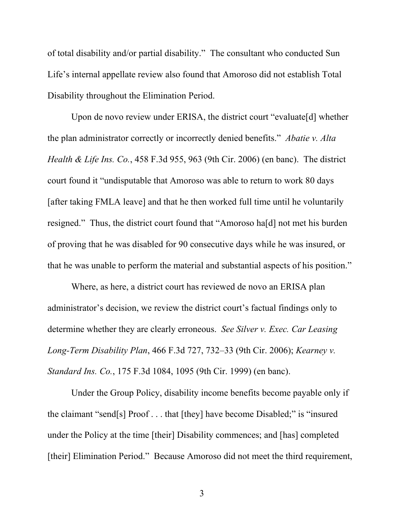of total disability and/or partial disability." The consultant who conducted Sun Life's internal appellate review also found that Amoroso did not establish Total Disability throughout the Elimination Period.

Upon de novo review under ERISA, the district court "evaluate[d] whether the plan administrator correctly or incorrectly denied benefits." *Abatie v. Alta Health & Life Ins. Co.*, 458 F.3d 955, 963 (9th Cir. 2006) (en banc). The district court found it "undisputable that Amoroso was able to return to work 80 days [after taking FMLA leave] and that he then worked full time until he voluntarily resigned." Thus, the district court found that "Amoroso ha[d] not met his burden of proving that he was disabled for 90 consecutive days while he was insured, or that he was unable to perform the material and substantial aspects of his position."

Where, as here, a district court has reviewed de novo an ERISA plan administrator's decision, we review the district court's factual findings only to determine whether they are clearly erroneous. *See Silver v. Exec. Car Leasing Long-Term Disability Plan*, 466 F.3d 727, 732–33 (9th Cir. 2006); *Kearney v. Standard Ins. Co.*, 175 F.3d 1084, 1095 (9th Cir. 1999) (en banc).

Under the Group Policy, disability income benefits become payable only if the claimant "send[s] Proof . . . that [they] have become Disabled;" is "insured under the Policy at the time [their] Disability commences; and [has] completed [their] Elimination Period." Because Amoroso did not meet the third requirement,

3